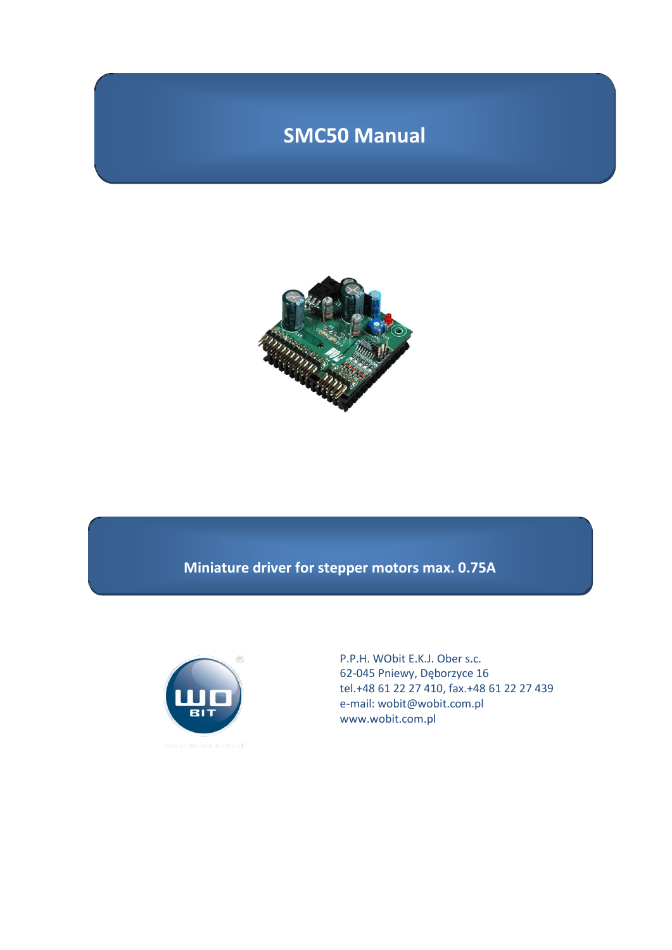# **SMC50 Manual**



# **Miniature driver for stepper motors max. 0.75A**



P.P.H. WObit E.K.J. Ober s.c. 62-045 Pniewy, Dęborzyce 16 tel.+48 61 22 27 410, fax.+48 61 22 27 439 e-mail: wobit@wobit.com.pl www.wobit.com.pl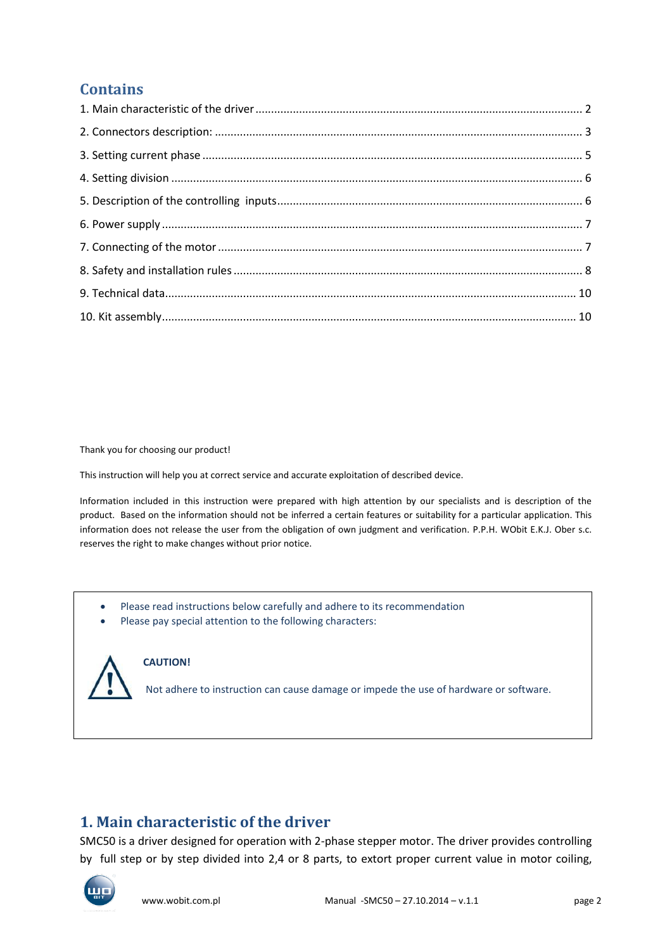# **Contains**

Thank you for choosing our product!

This instruction will help you at correct service and accurate exploitation of described device.

Information included in this instruction were prepared with high attention by our specialists and is description of the product. Based on the information should not be inferred a certain features or suitability for a particular application. This information does not release the user from the obligation of own judgment and verification. P.P.H. WObit E.K.J. Ober s.c. reserves the right to make changes without prior notice.

- Please read instructions below carefully and adhere to its recommendation
- Please pay special attention to the following characters:



#### **CAUTION!**

Not adhere to instruction can cause damage or impede the use of hardware or software.

### <span id="page-1-0"></span>**1. Main characteristic of the driver**

SMC50 is a driver designed for operation with 2-phase stepper motor. The driver provides controlling by full step or by step divided into 2,4 or 8 parts, to extort proper current value in motor coiling,

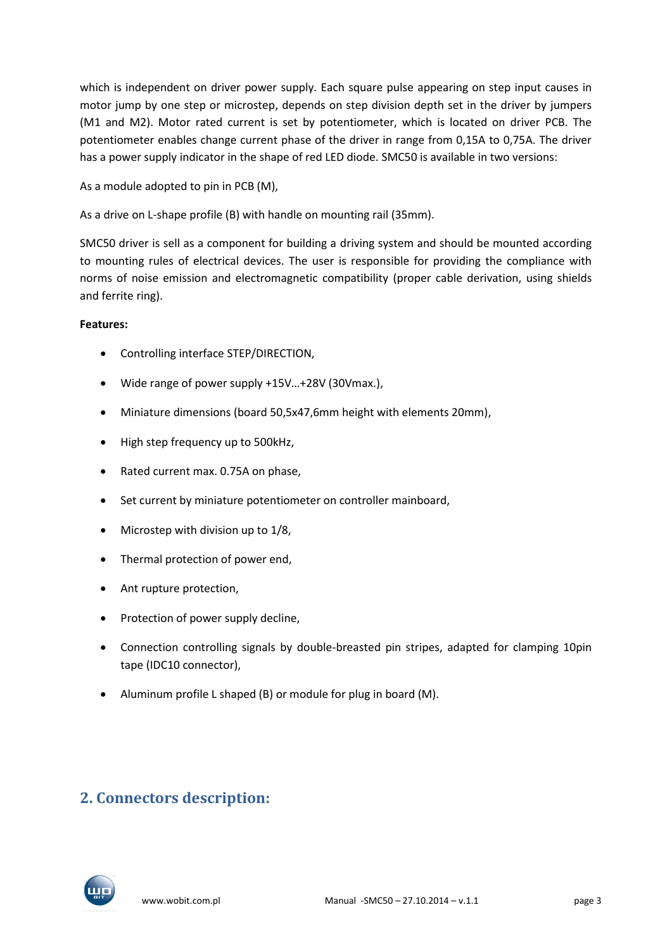which is independent on driver power supply. Each square pulse appearing on step input causes in motor jump by one step or microstep, depends on step division depth set in the driver by jumpers (M1 and M2). Motor rated current is set by potentiometer, which is located on driver PCB. The potentiometer enables change current phase of the driver in range from 0,15A to 0,75A. The driver has a power supply indicator in the shape of red LED diode. SMC50 is available in two versions:

As a module adopted to pin in PCB (M),

As a drive on L-shape profile (B) with handle on mounting rail (35mm).

SMC50 driver is sell as a component for building a driving system and should be mounted according to mounting rules of electrical devices. The user is responsible for providing the compliance with norms of noise emission and electromagnetic compatibility (proper cable derivation, using shields and ferrite ring).

#### **Features:**

- Controlling interface STEP/DIRECTION,
- Wide range of power supply +15V…+28V (30Vmax.),
- Miniature dimensions (board 50,5x47,6mm height with elements 20mm),
- High step frequency up to 500kHz,
- Rated current max. 0.75A on phase,
- Set current by miniature potentiometer on controller mainboard,
- Microstep with division up to 1/8,
- Thermal protection of power end,
- Ant rupture protection,
- Protection of power supply decline,
- Connection controlling signals by double-breasted pin stripes, adapted for clamping 10pin tape (IDC10 connector),
- Aluminum profile L shaped (B) or module for plug in board (M).

## <span id="page-2-0"></span>**2. Connectors description:**

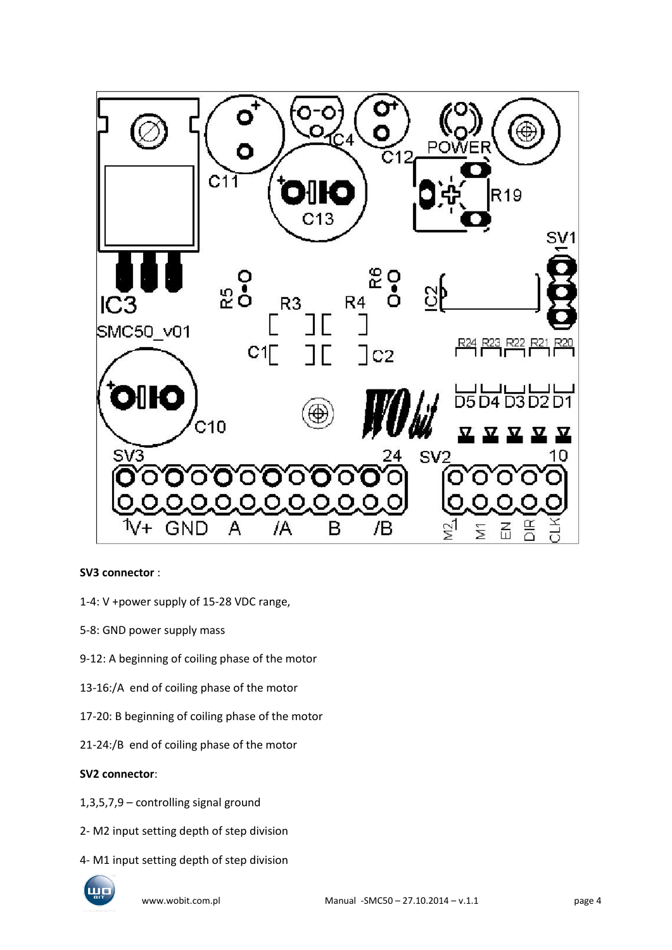

#### **SV3 connector** :

- 1-4: V +power supply of 15-28 VDC range,
- 5-8: GND power supply mass
- 9-12: A beginning of coiling phase of the motor
- 13-16:/A end of coiling phase of the motor
- 17-20: B beginning of coiling phase of the motor
- 21-24:/B end of coiling phase of the motor

#### **SV2 connector**:

- 1,3,5,7,9 controlling signal ground
- 2- M2 input setting depth of step division
- 4- M1 input setting depth of step division

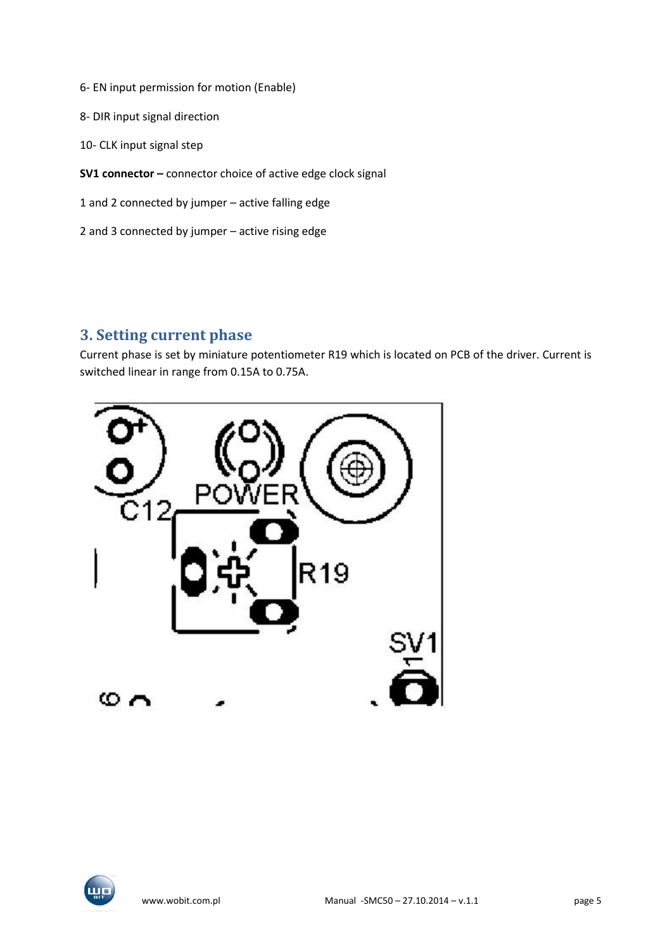- 6- EN input permission for motion (Enable)
- 8- DIR input signal direction
- 10- CLK input signal step
- **SV1 connector –** connector choice of active edge clock signal
- 1 and 2 connected by jumper active falling edge
- 2 and 3 connected by jumper active rising edge

#### <span id="page-4-0"></span>**3. Setting current phase**

Current phase is set by miniature potentiometer R19 which is located on PCB of the driver. Current is switched linear in range from 0.15A to 0.75A.



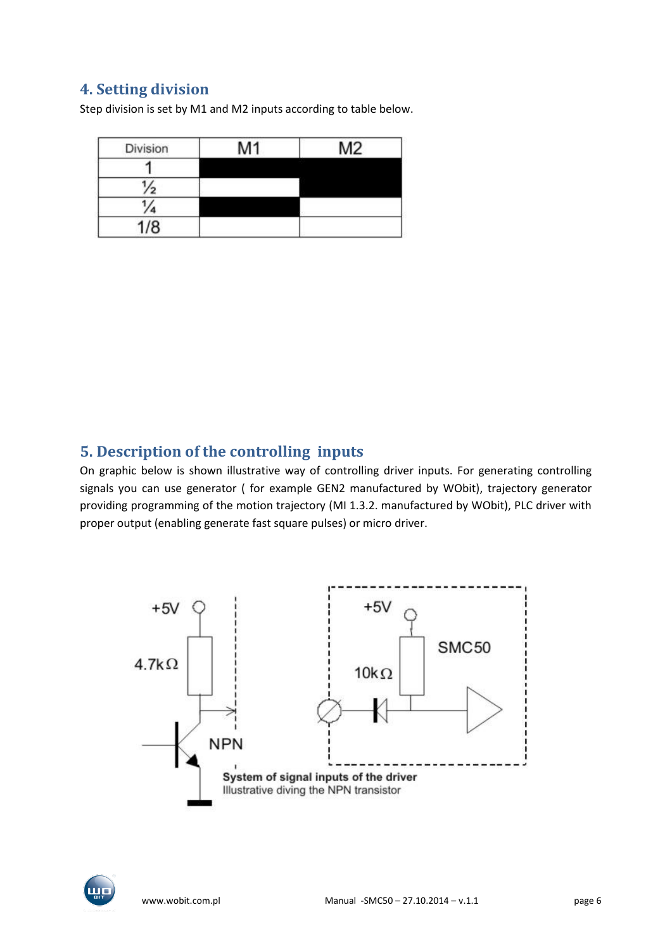## <span id="page-5-0"></span>**4. Setting division**

Step division is set by M1 and M2 inputs according to table below.

| Division | M <sub>1</sub> | M <sub>2</sub> |
|----------|----------------|----------------|
|          |                |                |
|          |                |                |
|          |                |                |
| 1/8      |                |                |

### <span id="page-5-1"></span>**5. Description of the controlling inputs**

On graphic below is shown illustrative way of controlling driver inputs. For generating controlling signals you can use generator ( for example GEN2 manufactured by WObit), trajectory generator providing programming of the motion trajectory (MI 1.3.2. manufactured by WObit), PLC driver with proper output (enabling generate fast square pulses) or micro driver.



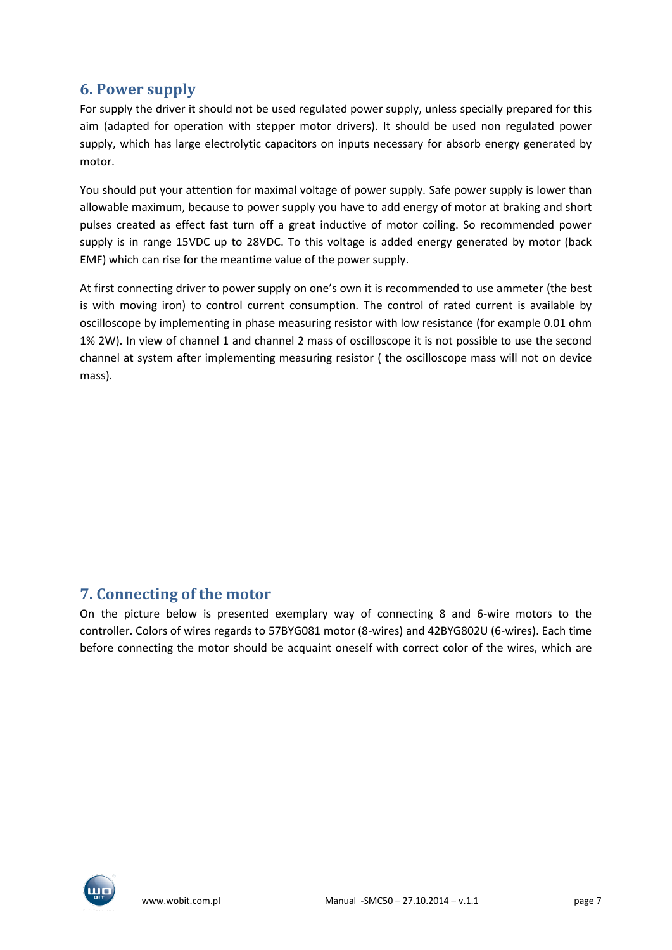## <span id="page-6-0"></span>**6. Power supply**

For supply the driver it should not be used regulated power supply, unless specially prepared for this aim (adapted for operation with stepper motor drivers). It should be used non regulated power supply, which has large electrolytic capacitors on inputs necessary for absorb energy generated by motor.

You should put your attention for maximal voltage of power supply. Safe power supply is lower than allowable maximum, because to power supply you have to add energy of motor at braking and short pulses created as effect fast turn off a great inductive of motor coiling. So recommended power supply is in range 15VDC up to 28VDC. To this voltage is added energy generated by motor (back EMF) which can rise for the meantime value of the power supply.

At first connecting driver to power supply on one's own it is recommended to use ammeter (the best is with moving iron) to control current consumption. The control of rated current is available by oscilloscope by implementing in phase measuring resistor with low resistance (for example 0.01 ohm 1% 2W). In view of channel 1 and channel 2 mass of oscilloscope it is not possible to use the second channel at system after implementing measuring resistor ( the oscilloscope mass will not on device mass).

## <span id="page-6-1"></span>**7. Connecting of the motor**

On the picture below is presented exemplary way of connecting 8 and 6-wire motors to the controller. Colors of wires regards to 57BYG081 motor (8-wires) and 42BYG802U (6-wires). Each time before connecting the motor should be acquaint oneself with correct color of the wires, which are

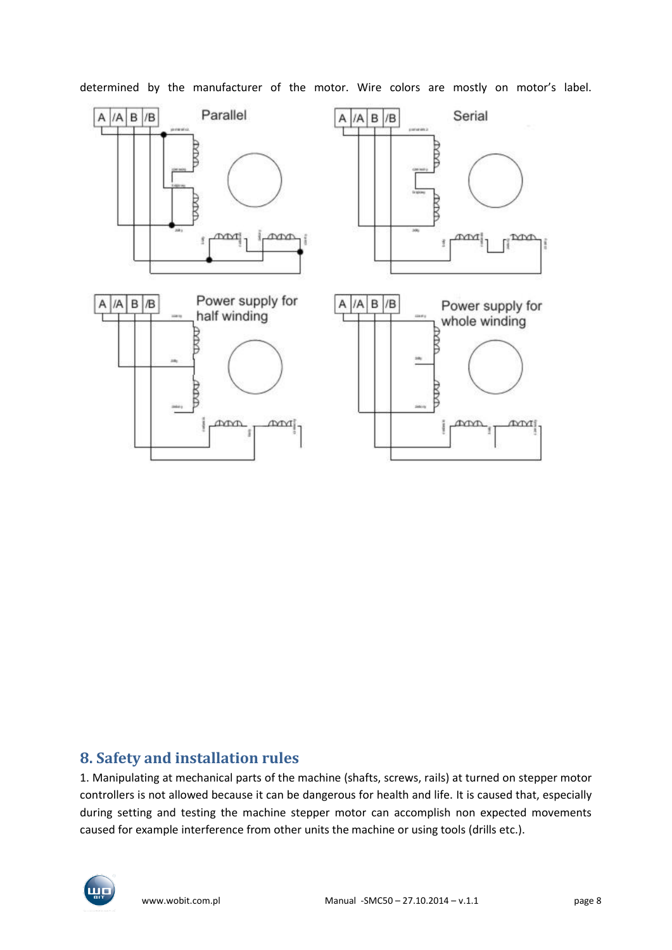

determined by the manufacturer of the motor. Wire colors are mostly on motor's label.

### <span id="page-7-0"></span>**8. Safety and installation rules**

1. Manipulating at mechanical parts of the machine (shafts, screws, rails) at turned on stepper motor controllers is not allowed because it can be dangerous for health and life. It is caused that, especially during setting and testing the machine stepper motor can accomplish non expected movements caused for example interference from other units the machine or using tools (drills etc.).

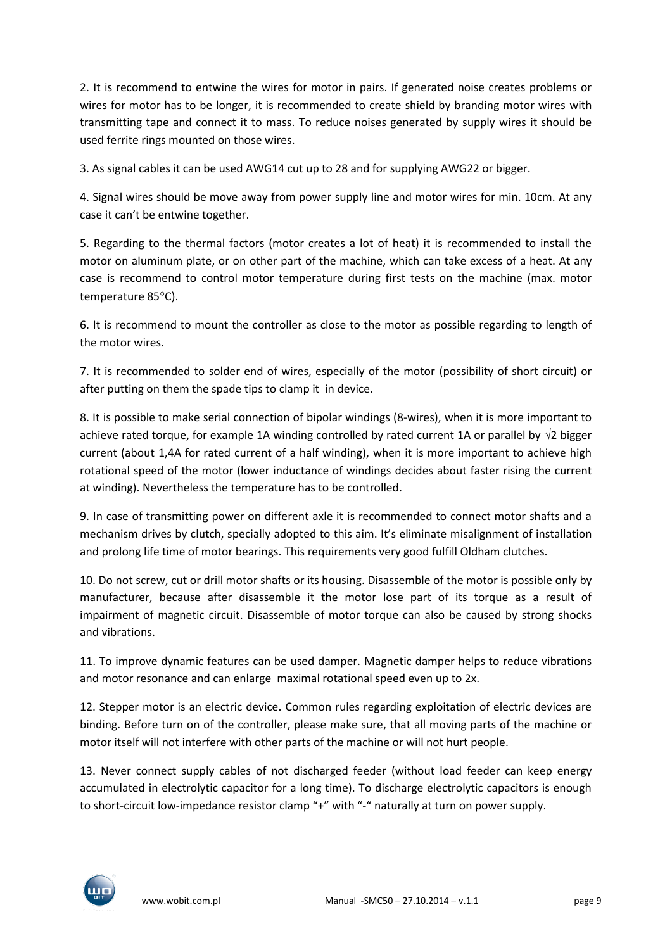2. It is recommend to entwine the wires for motor in pairs. If generated noise creates problems or wires for motor has to be longer, it is recommended to create shield by branding motor wires with transmitting tape and connect it to mass. To reduce noises generated by supply wires it should be used ferrite rings mounted on those wires.

3. As signal cables it can be used AWG14 cut up to 28 and for supplying AWG22 or bigger.

4. Signal wires should be move away from power supply line and motor wires for min. 10cm. At any case it can't be entwine together.

5. Regarding to the thermal factors (motor creates a lot of heat) it is recommended to install the motor on aluminum plate, or on other part of the machine, which can take excess of a heat. At any case is recommend to control motor temperature during first tests on the machine (max. motor temperature 85°C).

6. It is recommend to mount the controller as close to the motor as possible regarding to length of the motor wires.

7. It is recommended to solder end of wires, especially of the motor (possibility of short circuit) or after putting on them the spade tips to clamp it in device.

8. It is possible to make serial connection of bipolar windings (8-wires), when it is more important to achieve rated torque, for example 1A winding controlled by rated current 1A or parallel by  $\sqrt{2}$  bigger current (about 1,4A for rated current of a half winding), when it is more important to achieve high rotational speed of the motor (lower inductance of windings decides about faster rising the current at winding). Nevertheless the temperature has to be controlled.

9. In case of transmitting power on different axle it is recommended to connect motor shafts and a mechanism drives by clutch, specially adopted to this aim. It's eliminate misalignment of installation and prolong life time of motor bearings. This requirements very good fulfill Oldham clutches.

10. Do not screw, cut or drill motor shafts or its housing. Disassemble of the motor is possible only by manufacturer, because after disassemble it the motor lose part of its torque as a result of impairment of magnetic circuit. Disassemble of motor torque can also be caused by strong shocks and vibrations.

11. To improve dynamic features can be used damper. Magnetic damper helps to reduce vibrations and motor resonance and can enlarge maximal rotational speed even up to 2x.

12. Stepper motor is an electric device. Common rules regarding exploitation of electric devices are binding. Before turn on of the controller, please make sure, that all moving parts of the machine or motor itself will not interfere with other parts of the machine or will not hurt people.

13. Never connect supply cables of not discharged feeder (without load feeder can keep energy accumulated in electrolytic capacitor for a long time). To discharge electrolytic capacitors is enough to short-circuit low-impedance resistor clamp "+" with "-" naturally at turn on power supply.